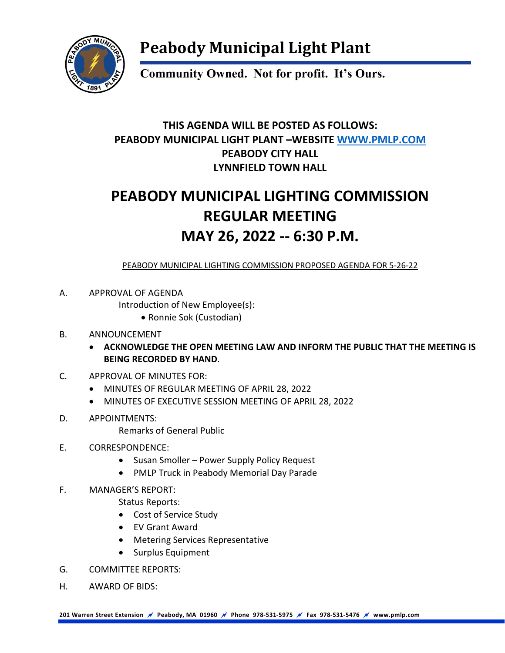

## **Peabody Municipal Light Plant**

**Community Owned. Not for profit. It's Ours.**

### **THIS AGENDA WILL BE POSTED AS FOLLOWS: PEABODY MUNICIPAL LIGHT PLANT –WEBSITE [WWW.PMLP.COM](http://www.pmlp.com/) PEABODY CITY HALL LYNNFIELD TOWN HALL**

## **PEABODY MUNICIPAL LIGHTING COMMISSION REGULAR MEETING MAY 26, 2022 -- 6:30 P.M.**

PEABODY MUNICIPAL LIGHTING COMMISSION PROPOSED AGENDA FOR 5-26-22

A. APPROVAL OF AGENDA

Introduction of New Employee(s):

• Ronnie Sok (Custodian)

#### B. ANNOUNCEMENT

- **ACKNOWLEDGE THE OPEN MEETING LAW AND INFORM THE PUBLIC THAT THE MEETING IS BEING RECORDED BY HAND**.
- C. APPROVAL OF MINUTES FOR:
	- MINUTES OF REGULAR MEETING OF APRIL 28, 2022
	- MINUTES OF EXECUTIVE SESSION MEETING OF APRIL 28, 2022
- D. APPOINTMENTS:

Remarks of General Public

- E. CORRESPONDENCE:
	- Susan Smoller Power Supply Policy Request
	- PMLP Truck in Peabody Memorial Day Parade
- F. MANAGER'S REPORT:
	- Status Reports:
		- Cost of Service Study
		- EV Grant Award
		- Metering Services Representative
		- Surplus Equipment
- G. COMMITTEE REPORTS:
- H. AWARD OF BIDS:

**201 Warren Street Extension Peabody, MA 01960 Phone 978-531-5975 Fax 978-531-5476 www.pmlp.com**